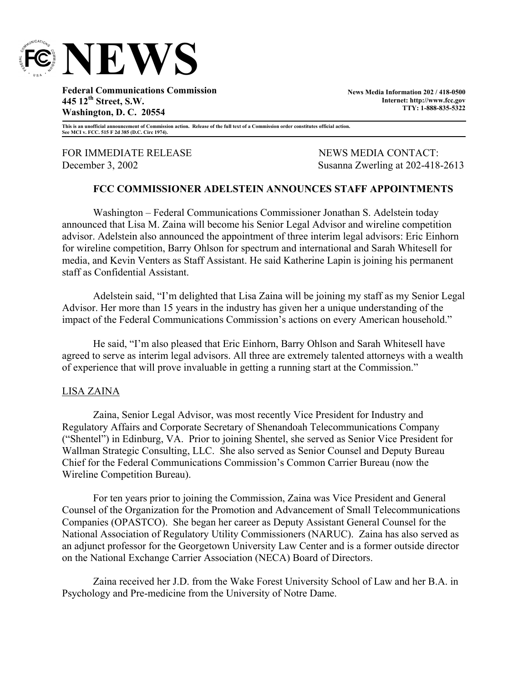

**Federal Communications Commission 445 12th Street, S.W. Washington, D. C. 20554** 

**News Media Information 202 / 418-0500 Internet: http://www.fcc.gov TTY: 1-888-835-5322**

**This is an unofficial announcement of Commission action. Release of the full text of a Commission order constitutes official action. See MCI v. FCC. 515 F 2d 385 (D.C. Circ 1974).** 

FOR IMMEDIATE RELEASE NEWS MEWS MEDIA CONTACT:

December 3, 2002 Susanna Zwerling at 202-418-2613

# **FCC COMMISSIONER ADELSTEIN ANNOUNCES STAFF APPOINTMENTS**

Washington – Federal Communications Commissioner Jonathan S. Adelstein today announced that Lisa M. Zaina will become his Senior Legal Advisor and wireline competition advisor. Adelstein also announced the appointment of three interim legal advisors: Eric Einhorn for wireline competition, Barry Ohlson for spectrum and international and Sarah Whitesell for media, and Kevin Venters as Staff Assistant. He said Katherine Lapin is joining his permanent staff as Confidential Assistant.

Adelstein said, "I'm delighted that Lisa Zaina will be joining my staff as my Senior Legal Advisor. Her more than 15 years in the industry has given her a unique understanding of the impact of the Federal Communications Commission's actions on every American household."

 He said, "I'm also pleased that Eric Einhorn, Barry Ohlson and Sarah Whitesell have agreed to serve as interim legal advisors. All three are extremely talented attorneys with a wealth of experience that will prove invaluable in getting a running start at the Commission."

### LISA ZAINA

Zaina, Senior Legal Advisor, was most recently Vice President for Industry and Regulatory Affairs and Corporate Secretary of Shenandoah Telecommunications Company ("Shentel") in Edinburg, VA. Prior to joining Shentel, she served as Senior Vice President for Wallman Strategic Consulting, LLC. She also served as Senior Counsel and Deputy Bureau Chief for the Federal Communications Commission's Common Carrier Bureau (now the Wireline Competition Bureau).

For ten years prior to joining the Commission, Zaina was Vice President and General Counsel of the Organization for the Promotion and Advancement of Small Telecommunications Companies (OPASTCO). She began her career as Deputy Assistant General Counsel for the National Association of Regulatory Utility Commissioners (NARUC). Zaina has also served as an adjunct professor for the Georgetown University Law Center and is a former outside director on the National Exchange Carrier Association (NECA) Board of Directors.

Zaina received her J.D. from the Wake Forest University School of Law and her B.A. in Psychology and Pre-medicine from the University of Notre Dame.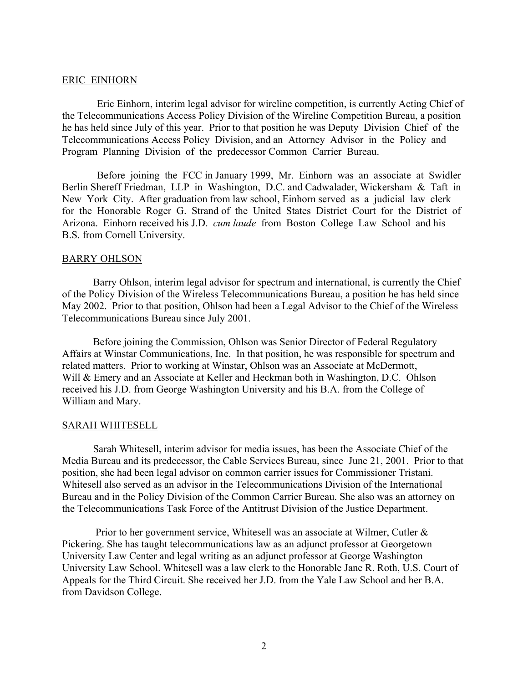#### ERIC EINHORN

Eric Einhorn, interim legal advisor for wireline competition, is currently Acting Chief of the Telecommunications Access Policy Division of the Wireline Competition Bureau, a position he has held since July of this year. Prior to that position he was Deputy Division Chief of the Telecommunications Access Policy Division, and an Attorney Advisor in the Policy and Program Planning Division of the predecessor Common Carrier Bureau.

Before joining the FCC in January 1999, Mr. Einhorn was an associate at Swidler Berlin Shereff Friedman, LLP in Washington, D.C. and Cadwalader, Wickersham & Taft in New York City. After graduation from law school, Einhorn served as a judicial law clerk for the Honorable Roger G. Strand of the United States District Court for the District of Arizona. Einhorn received his J.D. *cum laude* from Boston College Law School and his B.S. from Cornell University.

#### BARRY OHLSON

Barry Ohlson, interim legal advisor for spectrum and international, is currently the Chief of the Policy Division of the Wireless Telecommunications Bureau, a position he has held since May 2002. Prior to that position, Ohlson had been a Legal Advisor to the Chief of the Wireless Telecommunications Bureau since July 2001.

Before joining the Commission, Ohlson was Senior Director of Federal Regulatory Affairs at Winstar Communications, Inc. In that position, he was responsible for spectrum and related matters. Prior to working at Winstar, Ohlson was an Associate at McDermott, Will & Emery and an Associate at Keller and Heckman both in Washington, D.C. Ohlson received his J.D. from George Washington University and his B.A. from the College of William and Mary.

#### SARAH WHITESELL

Sarah Whitesell, interim advisor for media issues, has been the Associate Chief of the Media Bureau and its predecessor, the Cable Services Bureau, since June 21, 2001. Prior to that position, she had been legal advisor on common carrier issues for Commissioner Tristani. Whitesell also served as an advisor in the Telecommunications Division of the International Bureau and in the Policy Division of the Common Carrier Bureau. She also was an attorney on the Telecommunications Task Force of the Antitrust Division of the Justice Department.

 Prior to her government service, Whitesell was an associate at Wilmer, Cutler & Pickering. She has taught telecommunications law as an adjunct professor at Georgetown University Law Center and legal writing as an adjunct professor at George Washington University Law School. Whitesell was a law clerk to the Honorable Jane R. Roth, U.S. Court of Appeals for the Third Circuit. She received her J.D. from the Yale Law School and her B.A. from Davidson College.